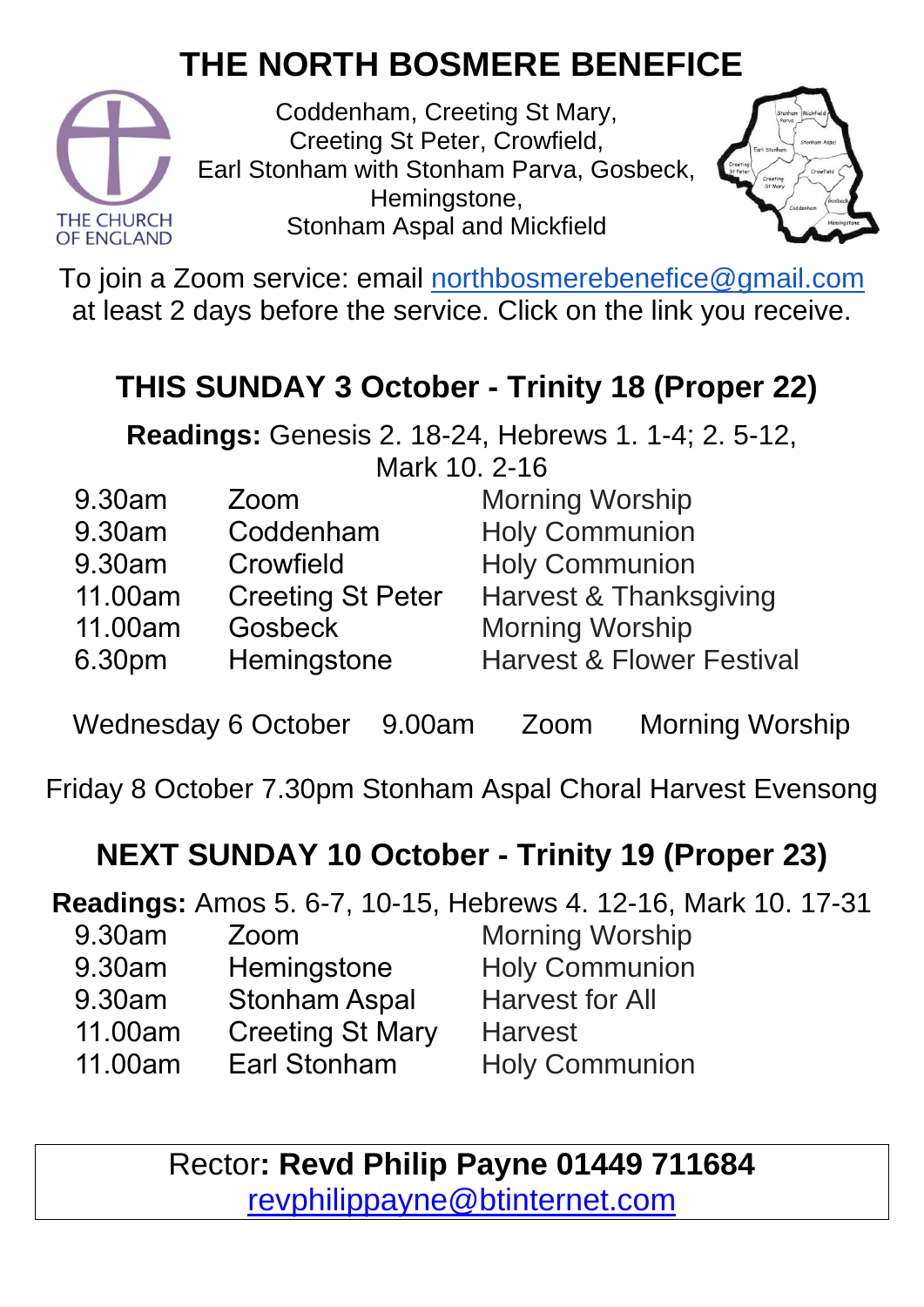## **THE NORTH BOSMERE BENEFICE**



Coddenham, Creeting St Mary, Creeting St Peter, Crowfield, Earl Stonham with Stonham Parva, Gosbeck, Hemingstone, Stonham Aspal and Mickfield



To join a Zoom service: email [northbosmerebenefice@gmail.com](mailto:northbosmerebenefice@gmail.com) at least 2 days before the service. Click on the link you receive.

#### **THIS SUNDAY 3 October - Trinity 18 (Proper 22)**

**Readings:** Genesis 2. 18-24, Hebrews 1. 1-4; 2. 5-12, Mark 10. 2-16

| 9.30am  | Zoom                     | <b>Morning Worship</b>               |
|---------|--------------------------|--------------------------------------|
| 9.30am  | Coddenham                | <b>Holy Communion</b>                |
| 9.30am  | Crowfield                | <b>Holy Communion</b>                |
| 11.00am | <b>Creeting St Peter</b> | Harvest & Thanksgiving               |
| 11.00am | <b>Gosbeck</b>           | <b>Morning Worship</b>               |
| 6.30pm  | Hemingstone              | <b>Harvest &amp; Flower Festival</b> |

Wednesday 6 October 9.00am Zoom Morning Worship

Friday 8 October 7.30pm Stonham Aspal Choral Harvest Evensong

#### **NEXT SUNDAY 10 October - Trinity 19 (Proper 23)**

**Readings:** Amos 5. 6-7, 10-15, Hebrews 4. 12-16, Mark 10. 17-31 9.30am Zoom

- 9.30am **Hemingstone**
- 9.30am Stonham Aspal
- 11.00am Creeting St Mary
- 11.00am Earl Stonham

Morning Worship Holy Communion Harvest for All **Harvest** Holy Communion

Rector**: Revd Philip Payne 01449 711684**  [revphilippayne@btinternet.com](mailto:revphilippayne@btinternet.com)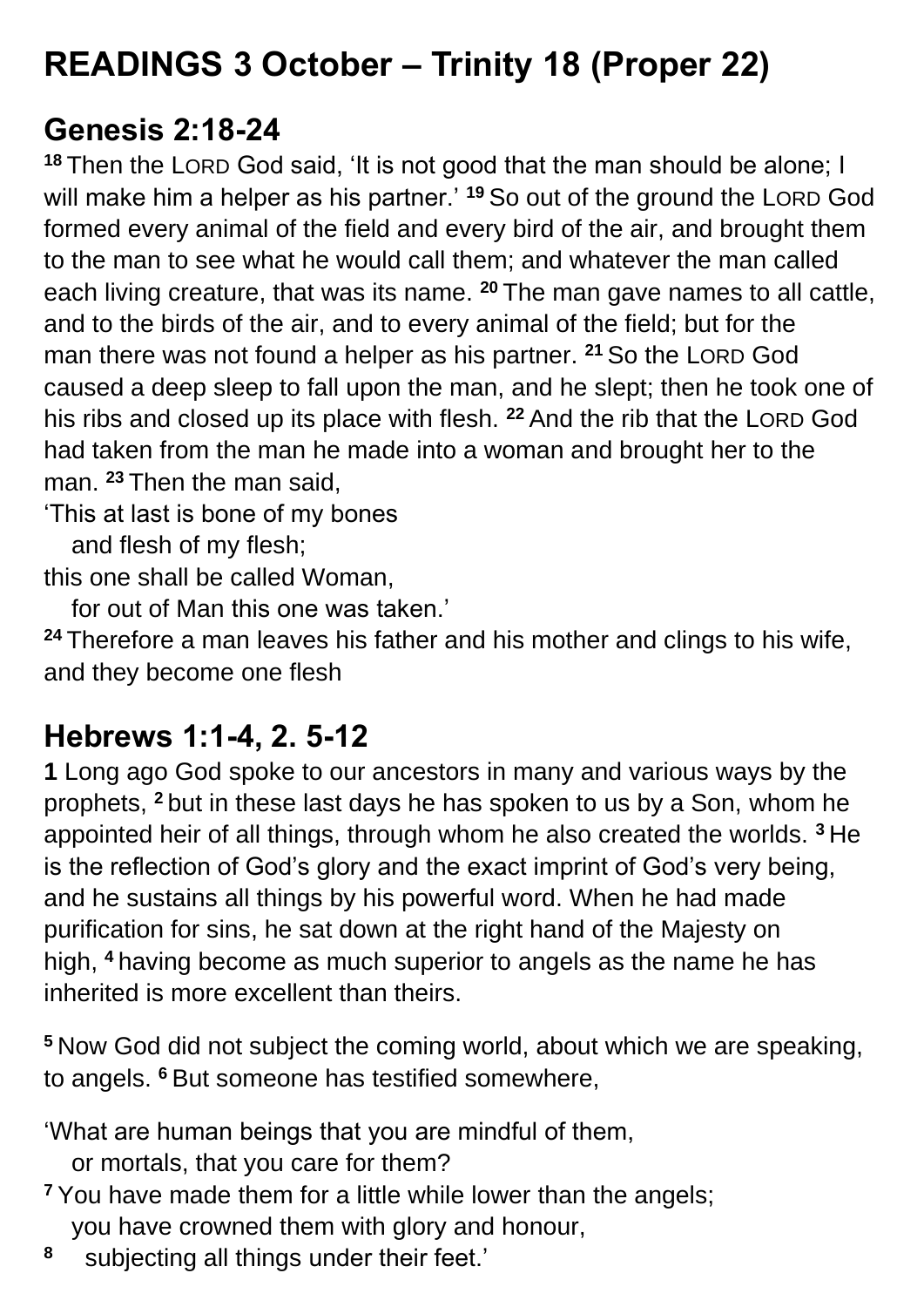## **READINGS 3 October – Trinity 18 (Proper 22)**

#### **Genesis 2:18-24**

**<sup>18</sup>** Then the LORD God said, 'It is not good that the man should be alone; I will make him a helper as his partner.' **<sup>19</sup>** So out of the ground the LORD God formed every animal of the field and every bird of the air, and brought them to the man to see what he would call them; and whatever the man called each living creature, that was its name. **<sup>20</sup>** The man gave names to all cattle, and to the birds of the air, and to every animal of the field; but for the man there was not found a helper as his partner. **<sup>21</sup>** So the LORD God caused a deep sleep to fall upon the man, and he slept; then he took one of his ribs and closed up its place with flesh. **<sup>22</sup>** And the rib that the LORD God had taken from the man he made into a woman and brought her to the man. **<sup>23</sup>** Then the man said,

'This at last is bone of my bones

and flesh of my flesh;

this one shall be called Woman,

for out of Man this one was taken.'

**<sup>24</sup>** Therefore a man leaves his father and his mother and clings to his wife, and they become one flesh

#### **Hebrews 1:1-4, 2. 5-12**

**1** Long ago God spoke to our ancestors in many and various ways by the prophets, **<sup>2</sup>** but in these last days he has spoken to us by a Son, whom he appointed heir of all things, through whom he also created the worlds. **<sup>3</sup>** He is the reflection of God's glory and the exact imprint of God's very being, and he sustains all things by his powerful word. When he had made purification for sins, he sat down at the right hand of the Majesty on high, **<sup>4</sup>** having become as much superior to angels as the name he has inherited is more excellent than theirs.

**<sup>5</sup>** Now God did not subject the coming world, about which we are speaking, to angels. **<sup>6</sup>** But someone has testified somewhere,

'What are human beings that you are mindful of them,

or mortals, that you care for them?

**<sup>7</sup>** You have made them for a little while lower than the angels; you have crowned them with glory and honour,

**8** subjecting all things under their feet.'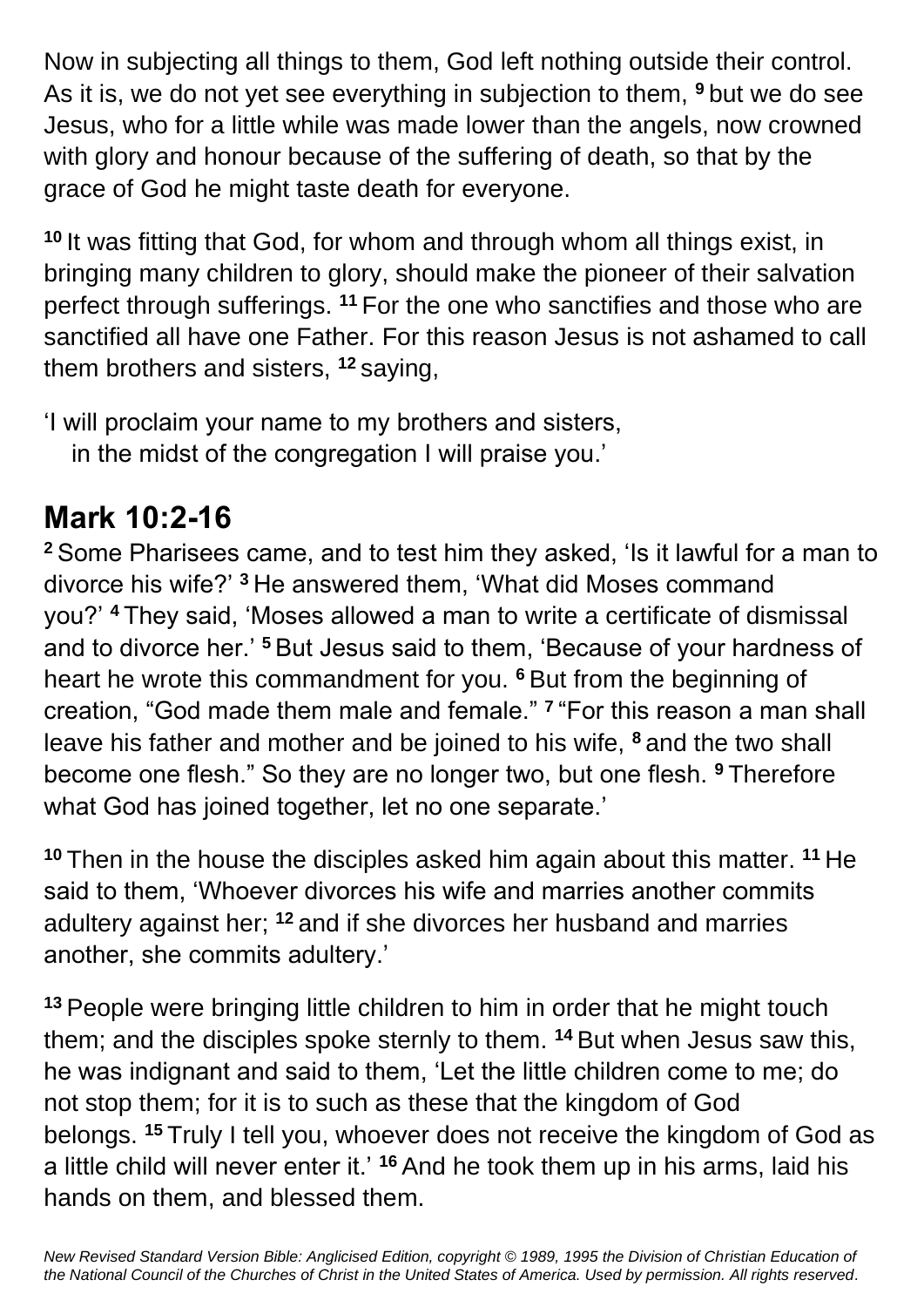Now in subjecting all things to them, God left nothing outside their control. As it is, we do not yet see everything in subjection to them, **<sup>9</sup>** but we do see Jesus, who for a little while was made lower than the angels, now crowned with glory and honour because of the suffering of death, so that by the grace of God he might taste death for everyone.

**<sup>10</sup>** It was fitting that God, for whom and through whom all things exist, in bringing many children to glory, should make the pioneer of their salvation perfect through sufferings. **<sup>11</sup>** For the one who sanctifies and those who are sanctified all have one Father. For this reason Jesus is not ashamed to call them brothers and sisters, **<sup>12</sup>** saying,

'I will proclaim your name to my brothers and sisters,

in the midst of the congregation I will praise you.'

### **Mark 10:2-16**

**<sup>2</sup>** Some Pharisees came, and to test him they asked, 'Is it lawful for a man to divorce his wife?' **<sup>3</sup>** He answered them, 'What did Moses command you?' **<sup>4</sup>** They said, 'Moses allowed a man to write a certificate of dismissal and to divorce her.' **<sup>5</sup>** But Jesus said to them, 'Because of your hardness of heart he wrote this commandment for you. **<sup>6</sup>** But from the beginning of creation, "God made them male and female." **<sup>7</sup>** "For this reason a man shall leave his father and mother and be joined to his wife, **<sup>8</sup>** and the two shall become one flesh." So they are no longer two, but one flesh. **<sup>9</sup>** Therefore what God has joined together, let no one separate.'

**<sup>10</sup>** Then in the house the disciples asked him again about this matter. **<sup>11</sup>** He said to them, 'Whoever divorces his wife and marries another commits adultery against her; **<sup>12</sup>** and if she divorces her husband and marries another, she commits adultery.'

**<sup>13</sup>** People were bringing little children to him in order that he might touch them; and the disciples spoke sternly to them. **<sup>14</sup>** But when Jesus saw this, he was indignant and said to them, 'Let the little children come to me; do not stop them; for it is to such as these that the kingdom of God belongs. **<sup>15</sup>** Truly I tell you, whoever does not receive the kingdom of God as a little child will never enter it.' **<sup>16</sup>** And he took them up in his arms, laid his hands on them, and blessed them.